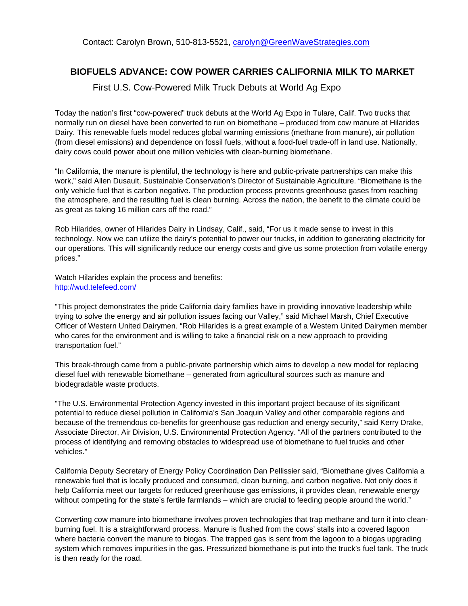## **BIOFUELS ADVANCE: COW POWER CARRIES CALIFORNIA MILK TO MARKET**

## First U.S. Cow-Powered Milk Truck Debuts at World Ag Expo

Today the nation's first "cow-powered" truck debuts at the World Ag Expo in Tulare, Calif. Two trucks that normally run on diesel have been converted to run on biomethane – produced from cow manure at Hilarides Dairy. This renewable fuels model reduces global warming emissions (methane from manure), air pollution (from diesel emissions) and dependence on fossil fuels, without a food-fuel trade-off in land use. Nationally, dairy cows could power about one million vehicles with clean-burning biomethane.

"In California, the manure is plentiful, the technology is here and public-private partnerships can make this work," said Allen Dusault, Sustainable Conservation's Director of Sustainable Agriculture. "Biomethane is the only vehicle fuel that is carbon negative. The production process prevents greenhouse gases from reaching the atmosphere, and the resulting fuel is clean burning. Across the nation, the benefit to the climate could be as great as taking 16 million cars off the road."

Rob Hilarides, owner of Hilarides Dairy in Lindsay, Calif., said, "For us it made sense to invest in this technology. Now we can utilize the dairy's potential to power our trucks, in addition to generating electricity for our operations. This will significantly reduce our energy costs and give us some protection from volatile energy prices."

Watch Hilarides explain the process and benefits: http://wud.telefeed.com/

"This project demonstrates the pride California dairy families have in providing innovative leadership while trying to solve the energy and air pollution issues facing our Valley," said Michael Marsh, Chief Executive Officer of Western United Dairymen. "Rob Hilarides is a great example of a Western United Dairymen member who cares for the environment and is willing to take a financial risk on a new approach to providing transportation fuel."

This break-through came from a public-private partnership which aims to develop a new model for replacing diesel fuel with renewable biomethane – generated from agricultural sources such as manure and biodegradable waste products.

"The U.S. Environmental Protection Agency invested in this important project because of its significant potential to reduce diesel pollution in California's San Joaquin Valley and other comparable regions and because of the tremendous co-benefits for greenhouse gas reduction and energy security," said Kerry Drake, Associate Director, Air Division, U.S. Environmental Protection Agency. "All of the partners contributed to the process of identifying and removing obstacles to widespread use of biomethane to fuel trucks and other vehicles."

California Deputy Secretary of Energy Policy Coordination Dan Pellissier said, "Biomethane gives California a renewable fuel that is locally produced and consumed, clean burning, and carbon negative. Not only does it help California meet our targets for reduced greenhouse gas emissions, it provides clean, renewable energy without competing for the state's fertile farmlands – which are crucial to feeding people around the world."

Converting cow manure into biomethane involves proven technologies that trap methane and turn it into cleanburning fuel. It is a straightforward process. Manure is flushed from the cows' stalls into a covered lagoon where bacteria convert the manure to biogas. The trapped gas is sent from the lagoon to a biogas upgrading system which removes impurities in the gas. Pressurized biomethane is put into the truck's fuel tank. The truck is then ready for the road.